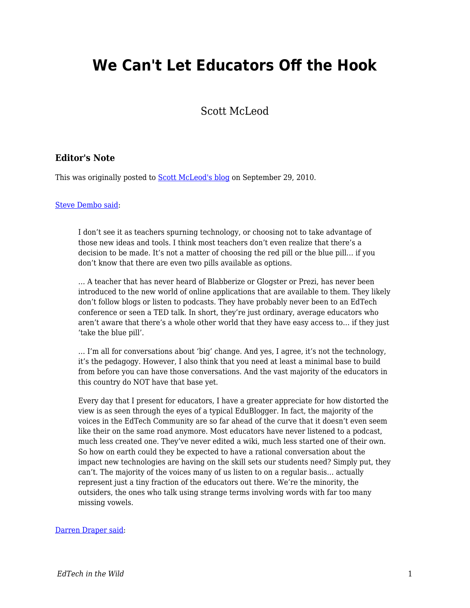# **We Can't Let Educators Off the Hook**

Scott McLeod

### **Editor's Note**

This was originally posted to **Scott McLeod's blog on September 29, 2010.** 

#### [Steve Dembo said](http://www.teach42.com/2010/09/15/the-majority-is-in-the-minority/):

I don't see it as teachers spurning technology, or choosing not to take advantage of those new ideas and tools. I think most teachers don't even realize that there's a decision to be made. It's not a matter of choosing the red pill or the blue pill… if you don't know that there are even two pills available as options.

… A teacher that has never heard of Blabberize or Glogster or Prezi, has never been introduced to the new world of online applications that are available to them. They likely don't follow blogs or listen to podcasts. They have probably never been to an EdTech conference or seen a TED talk. In short, they're just ordinary, average educators who aren't aware that there's a whole other world that they have easy access to… if they just 'take the blue pill'.

… I'm all for conversations about 'big' change. And yes, I agree, it's not the technology, it's the pedagogy. However, I also think that you need at least a minimal base to build from before you can have those conversations. And the vast majority of the educators in this country do NOT have that base yet.

Every day that I present for educators, I have a greater appreciate for how distorted the view is as seen through the eyes of a typical EduBlogger. In fact, the majority of the voices in the EdTech Community are so far ahead of the curve that it doesn't even seem like their on the same road anymore. Most educators have never listened to a podcast, much less created one. They've never edited a wiki, much less started one of their own. So how on earth could they be expected to have a rational conversation about the impact new technologies are having on the skill sets our students need? Simply put, they can't. The majority of the voices many of us listen to on a regular basis… actually represent just a tiny fraction of the educators out there. We're the minority, the outsiders, the ones who talk using strange terms involving words with far too many missing vowels.

#### [Darren Draper said:](http://drapestakes.blogspot.com/2010/09/reality-of-matter-edchat.html)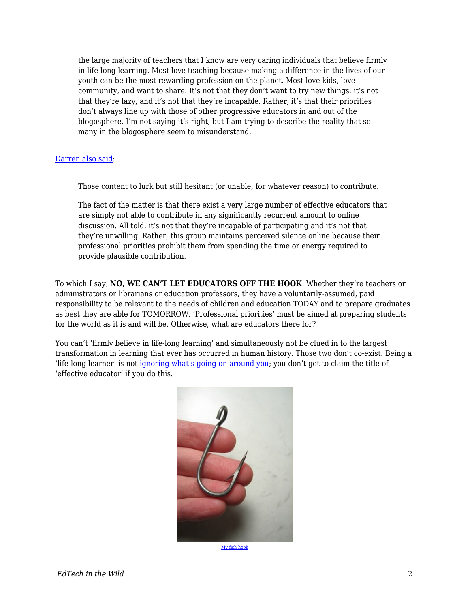the large majority of teachers that I know are very caring individuals that believe firmly in life-long learning. Most love teaching because making a difference in the lives of our youth can be the most rewarding profession on the planet. Most love kids, love community, and want to share. It's not that they don't want to try new things, it's not that they're lazy, and it's not that they're incapable. Rather, it's that their priorities don't always line up with those of other progressive educators in and out of the blogosphere. I'm not saying it's right, but I am trying to describe the reality that so many in the blogosphere seem to misunderstand.

#### [Darren also said:](http://drapestakes.blogspot.com/2009/11/those-content-to-lurk.html)

Those content to lurk but still hesitant (or unable, for whatever reason) to contribute.

The fact of the matter is that there exist a very large number of effective educators that are simply not able to contribute in any significantly recurrent amount to online discussion. All told, it's not that they're incapable of participating and it's not that they're unwilling. Rather, this group maintains perceived silence online because their professional priorities prohibit them from spending the time or energy required to provide plausible contribution.

To which I say, **NO, WE CAN'T LET EDUCATORS OFF THE HOOK**. Whether they're teachers or administrators or librarians or education professors, they have a voluntarily-assumed, paid responsibility to be relevant to the needs of children and education TODAY and to prepare graduates as best they are able for TOMORROW. 'Professional priorities' must be aimed at preparing students for the world as it is and will be. Otherwise, what are educators there for?

You can't 'firmly believe in life-long learning' and simultaneously not be clued in to the largest transformation in learning that ever has occurred in human history. Those two don't co-exist. Being a 'life-long learner' is not [ignoring what's going on around you](http://dangerouslyirrelevant.org/2010/07/no-thanks-i-choose-to-do-nothing.html); you don't get to claim the title of 'effective educator' if you do this.



[My fish hook](http://www.flickr.com/photos/80522246@N00/362335282/)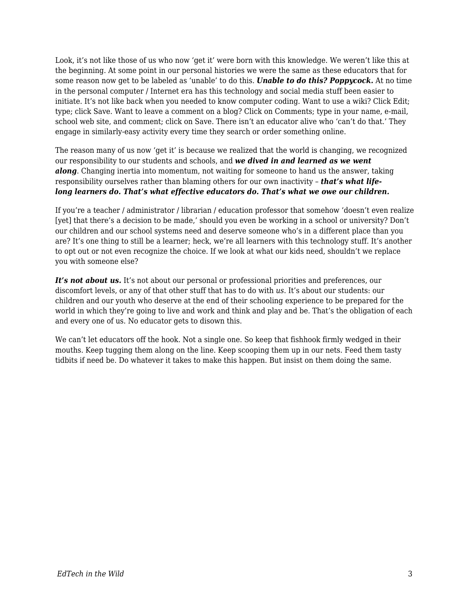Look, it's not like those of us who now 'get it' were born with this knowledge. We weren't like this at the beginning. At some point in our personal histories we were the same as these educators that for some reason now get to be labeled as 'unable' to do this. *Unable to do this? Poppycock.* At no time in the personal computer / Internet era has this technology and social media stuff been easier to initiate. It's not like back when you needed to know computer coding. Want to use a wiki? Click Edit; type; click Save. Want to leave a comment on a blog? Click on Comments; type in your name, e-mail, school web site, and comment; click on Save. There isn't an educator alive who 'can't do that.' They engage in similarly-easy activity every time they search or order something online.

The reason many of us now 'get it' is because we realized that the world is changing, we recognized our responsibility to our students and schools, and *we dived in and learned as we went along*. Changing inertia into momentum, not waiting for someone to hand us the answer, taking responsibility ourselves rather than blaming others for our own inactivity – *that's what lifelong learners do. That's what effective educators do. That's what we owe our children.*

If you're a teacher / administrator / librarian / education professor that somehow 'doesn't even realize [yet] that there's a decision to be made,' should you even be working in a school or university? Don't our children and our school systems need and deserve someone who's in a different place than you are? It's one thing to still be a learner; heck, we're all learners with this technology stuff. It's another to opt out or not even recognize the choice. If we look at what our kids need, shouldn't we replace you with someone else?

It's not about us. It's not about our personal or professional priorities and preferences, our discomfort levels, or any of that other stuff that has to do with *us*. It's about our students: our children and our youth who deserve at the end of their schooling experience to be prepared for the world in which they're going to live and work and think and play and be. That's the obligation of each and every one of us. No educator gets to disown this.

We can't let educators off the hook. Not a single one. So keep that fishhook firmly wedged in their mouths. Keep tugging them along on the line. Keep scooping them up in our nets. Feed them tasty tidbits if need be. Do whatever it takes to make this happen. But insist on them doing the same.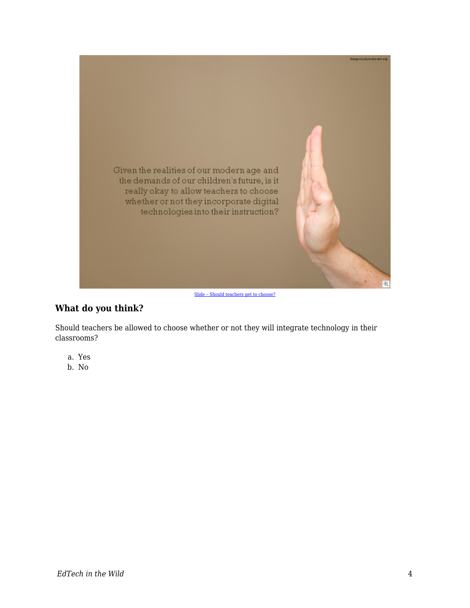

[Slide – Should teachers get to choose?](http://dangerouslyirrelevant.org/2008/10/slide-should.html)

## **What do you think?**

Should teachers be allowed to choose whether or not they will integrate technology in their classrooms?

- a. Yes
- b. No